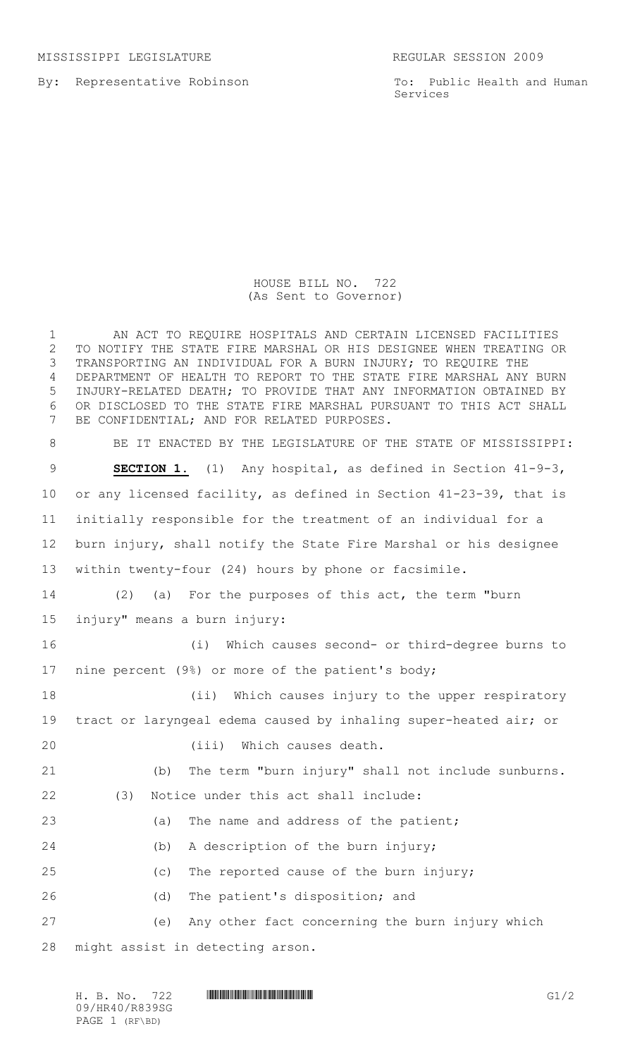MISSISSIPPI LEGISLATURE REGULAR SESSION 2009

By: Representative Robinson

To: Public Health and Human Services

## HOUSE BILL NO. 722 (As Sent to Governor)

 AN ACT TO REQUIRE HOSPITALS AND CERTAIN LICENSED FACILITIES TO NOTIFY THE STATE FIRE MARSHAL OR HIS DESIGNEE WHEN TREATING OR TRANSPORTING AN INDIVIDUAL FOR A BURN INJURY; TO REQUIRE THE DEPARTMENT OF HEALTH TO REPORT TO THE STATE FIRE MARSHAL ANY BURN INJURY-RELATED DEATH; TO PROVIDE THAT ANY INFORMATION OBTAINED BY OR DISCLOSED TO THE STATE FIRE MARSHAL PURSUANT TO THIS ACT SHALL BE CONFIDENTIAL; AND FOR RELATED PURPOSES. BE IT ENACTED BY THE LEGISLATURE OF THE STATE OF MISSISSIPPI: **SECTION 1.** (1) Any hospital, as defined in Section 41-9-3, or any licensed facility, as defined in Section 41-23-39, that is initially responsible for the treatment of an individual for a burn injury, shall notify the State Fire Marshal or his designee within twenty-four (24) hours by phone or facsimile. (2) (a) For the purposes of this act, the term "burn injury" means a burn injury: (i) Which causes second- or third-degree burns to nine percent (9%) or more of the patient's body; (ii) Which causes injury to the upper respiratory tract or laryngeal edema caused by inhaling super-heated air; or 20 (iii) Which causes death. (b) The term "burn injury" shall not include sunburns. (3) Notice under this act shall include: 23 (a) The name and address of the patient; (b) A description of the burn injury; (c) The reported cause of the burn injury; (d) The patient's disposition; and (e) Any other fact concerning the burn injury which might assist in detecting arson.

H. B. No. 722 **HR40/R839SG\* G1/2** G1/2